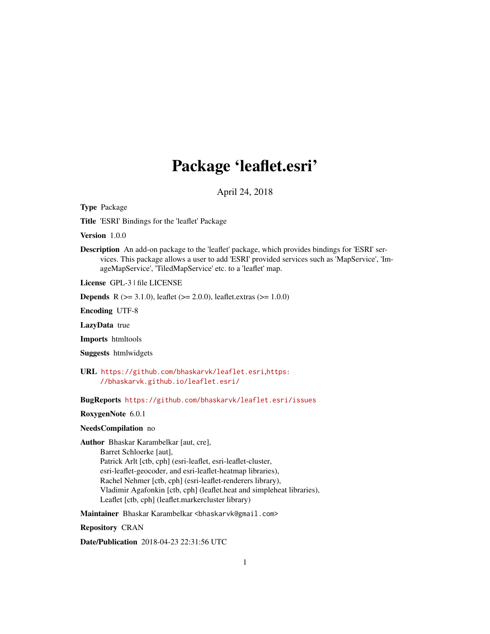# Package 'leaflet.esri'

April 24, 2018

<span id="page-0-0"></span>Type Package

Title 'ESRI' Bindings for the 'leaflet' Package

Version 1.0.0

Description An add-on package to the 'leaflet' package, which provides bindings for 'ESRI' services. This package allows a user to add 'ESRI' provided services such as 'MapService', 'ImageMapService', 'TiledMapService' etc. to a 'leaflet' map.

License GPL-3 | file LICENSE

**Depends** R ( $>= 3.1.0$ ), leaflet ( $>= 2.0.0$ ), leaflet.extras ( $>= 1.0.0$ )

Encoding UTF-8

LazyData true

Imports htmltools

Suggests htmlwidgets

URL <https://github.com/bhaskarvk/leaflet.esri>,[https:](https://bhaskarvk.github.io/leaflet.esri/) [//bhaskarvk.github.io/leaflet.esri/](https://bhaskarvk.github.io/leaflet.esri/)

BugReports <https://github.com/bhaskarvk/leaflet.esri/issues>

#### RoxygenNote 6.0.1

#### NeedsCompilation no

Author Bhaskar Karambelkar [aut, cre], Barret Schloerke [aut], Patrick Arlt [ctb, cph] (esri-leaflet, esri-leaflet-cluster, esri-leaflet-geocoder, and esri-leaflet-heatmap libraries), Rachel Nehmer [ctb, cph] (esri-leaflet-renderers library), Vladimir Agafonkin [ctb, cph] (leaflet.heat and simpleheat libraries), Leaflet [ctb, cph] (leaflet.markercluster library)

Maintainer Bhaskar Karambelkar <br/>bhaskarvk@gmail.com>

Repository CRAN

Date/Publication 2018-04-23 22:31:56 UTC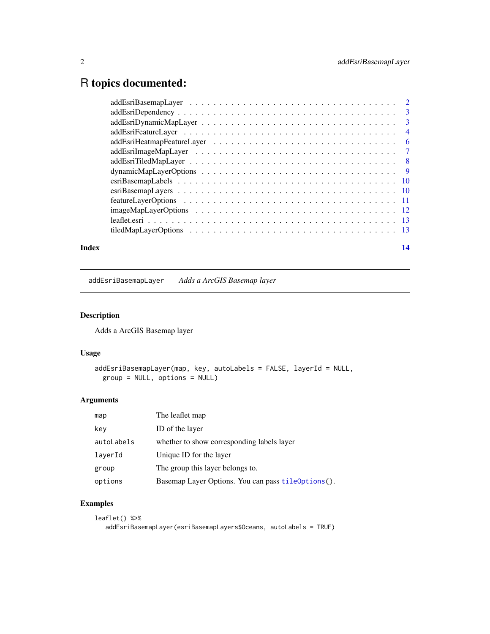## <span id="page-1-0"></span>R topics documented:

| Index | 14 |
|-------|----|

addEsriBasemapLayer *Adds a ArcGIS Basemap layer*

#### Description

Adds a ArcGIS Basemap layer

#### Usage

```
addEsriBasemapLayer(map, key, autoLabels = FALSE, layerId = NULL,
 group = NULL, options = NULL)
```
#### Arguments

| The leaflet map                                    |
|----------------------------------------------------|
| ID of the layer                                    |
| whether to show corresponding labels layer         |
| Unique ID for the layer                            |
| The group this layer belongs to.                   |
| Basemap Layer Options. You can pass tileoptions(). |
|                                                    |

#### Examples

```
leaflet() %>%
  addEsriBasemapLayer(esriBasemapLayers$Oceans, autoLabels = TRUE)
```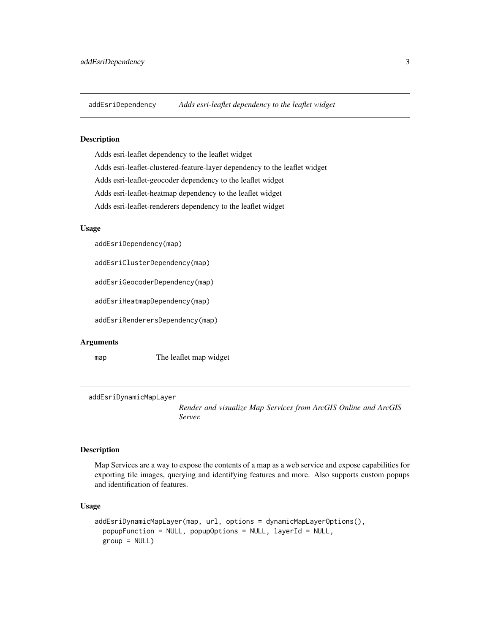<span id="page-2-0"></span>

#### Description

Adds esri-leaflet dependency to the leaflet widget Adds esri-leaflet-clustered-feature-layer dependency to the leaflet widget Adds esri-leaflet-geocoder dependency to the leaflet widget Adds esri-leaflet-heatmap dependency to the leaflet widget Adds esri-leaflet-renderers dependency to the leaflet widget

#### Usage

addEsriDependency(map)

addEsriClusterDependency(map)

addEsriGeocoderDependency(map)

addEsriHeatmapDependency(map)

addEsriRenderersDependency(map)

#### Arguments

map The leaflet map widget

addEsriDynamicMapLayer

*Render and visualize Map Services from ArcGIS Online and ArcGIS Server.*

#### Description

Map Services are a way to expose the contents of a map as a web service and expose capabilities for exporting tile images, querying and identifying features and more. Also supports custom popups and identification of features.

#### Usage

```
addEsriDynamicMapLayer(map, url, options = dynamicMapLayerOptions(),
 popupFunction = NULL, popupOptions = NULL, layerId = NULL,
 group = NULL)
```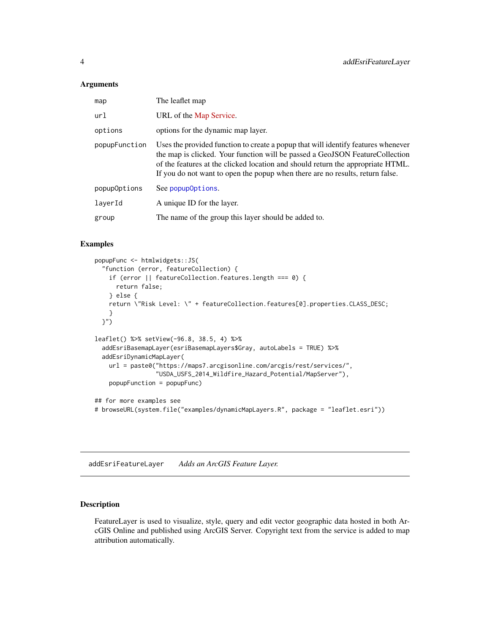#### <span id="page-3-0"></span>**Arguments**

| map           | The leaflet map                                                                                                                                                                                                                                                                                                                       |
|---------------|---------------------------------------------------------------------------------------------------------------------------------------------------------------------------------------------------------------------------------------------------------------------------------------------------------------------------------------|
| url           | URL of the Map Service.                                                                                                                                                                                                                                                                                                               |
| options       | options for the dynamic map layer.                                                                                                                                                                                                                                                                                                    |
| popupFunction | Uses the provided function to create a popup that will identify features whenever<br>the map is clicked. Your function will be passed a GeoJSON FeatureCollection<br>of the features at the clicked location and should return the appropriate HTML.<br>If you do not want to open the popup when there are no results, return false. |
| popup0ptions  | See popup0ptions.                                                                                                                                                                                                                                                                                                                     |
| layerId       | A unique ID for the layer.                                                                                                                                                                                                                                                                                                            |
| group         | The name of the group this layer should be added to.                                                                                                                                                                                                                                                                                  |

#### Examples

```
popupFunc <- htmlwidgets::JS(
  "function (error, featureCollection) {
   if (error || featureCollection.features.length === 0) {
      return false;
    } else {
   return \"Risk Level: \" + featureCollection.features[0].properties.CLASS_DESC;
    }
  }")
leaflet() %>% setView(-96.8, 38.5, 4) %>%
  addEsriBasemapLayer(esriBasemapLayers$Gray, autoLabels = TRUE) %>%
  addEsriDynamicMapLayer(
   url = paste0("https://maps7.arcgisonline.com/arcgis/rest/services/",
                 "USDA_USFS_2014_Wildfire_Hazard_Potential/MapServer"),
   popupFunction = popupFunc)
## for more examples see
# browseURL(system.file("examples/dynamicMapLayers.R", package = "leaflet.esri"))
```
addEsriFeatureLayer *Adds an ArcGIS Feature Layer.*

#### Description

FeatureLayer is used to visualize, style, query and edit vector geographic data hosted in both ArcGIS Online and published using ArcGIS Server. Copyright text from the service is added to map attribution automatically.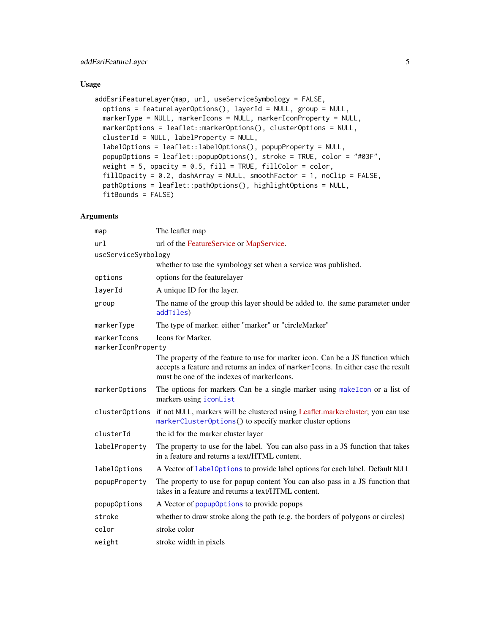#### <span id="page-4-0"></span>Usage

```
addEsriFeatureLayer(map, url, useServiceSymbology = FALSE,
 options = featureLayerOptions(), layerId = NULL, group = NULL,
 markerType = NULL, markerIcons = NULL, markerIconProperty = NULL,
 markerOptions = leaflet::markerOptions(), clusterOptions = NULL,
 clusterId = NULL, labelProperty = NULL,
 labelOptions = leaflet::labelOptions(), popupProperty = NULL,
 popupOptions = leaflet::popupOptions(), stroke = TRUE, color = "#03F",
 weight = 5, opacity = 0.5, fill = TRUE, fillColor = color,
 fillOpacity = 0.2, dashArray = NULL, smoothFactor = 1, noClip = FALSE,
  pathOptions = leaflet::pathOptions(), highlightOptions = NULL,
 fitBounds = FALSE)
```

| map                                                           | The leaflet map                                                                                                                                                                                                   |  |
|---------------------------------------------------------------|-------------------------------------------------------------------------------------------------------------------------------------------------------------------------------------------------------------------|--|
| ur1                                                           | url of the FeatureService or MapService.                                                                                                                                                                          |  |
| useServiceSymbology                                           |                                                                                                                                                                                                                   |  |
|                                                               | whether to use the symbology set when a service was published.                                                                                                                                                    |  |
| options                                                       | options for the featurelayer                                                                                                                                                                                      |  |
| layerId                                                       | A unique ID for the layer.                                                                                                                                                                                        |  |
| group                                                         | The name of the group this layer should be added to. the same parameter under<br>addTiles)                                                                                                                        |  |
| markerType                                                    | The type of marker. either "marker" or "circleMarker"                                                                                                                                                             |  |
| <b>Icons for Marker.</b><br>markerIcons<br>markerIconProperty |                                                                                                                                                                                                                   |  |
|                                                               | The property of the feature to use for marker icon. Can be a JS function which<br>accepts a feature and returns an index of markerIcons. In either case the result<br>must be one of the indexes of marker loops. |  |
| markerOptions                                                 | The options for markers Can be a single marker using makeIcon or a list of<br>markers using iconList                                                                                                              |  |
| clusterOptions                                                | if not NULL, markers will be clustered using Leaflet.markercluster; you can use<br>markerClusterOptions() to specify marker cluster options                                                                       |  |
| clusterId                                                     | the id for the marker cluster layer                                                                                                                                                                               |  |
| labelProperty                                                 | The property to use for the label. You can also pass in a JS function that takes<br>in a feature and returns a text/HTML content.                                                                                 |  |
| labelOptions                                                  | A Vector of label0ptions to provide label options for each label. Default NULL                                                                                                                                    |  |
| popupProperty                                                 | The property to use for popup content You can also pass in a JS function that<br>takes in a feature and returns a text/HTML content.                                                                              |  |
| popupOptions                                                  | A Vector of popup0ptions to provide popups                                                                                                                                                                        |  |
| stroke                                                        | whether to draw stroke along the path (e.g. the borders of polygons or circles)                                                                                                                                   |  |
| color                                                         | stroke color                                                                                                                                                                                                      |  |
| weight                                                        | stroke width in pixels                                                                                                                                                                                            |  |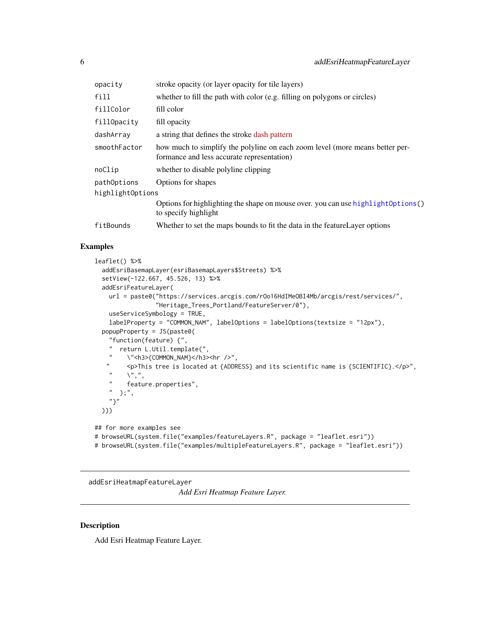<span id="page-5-0"></span>

| opacity          | stroke opacity (or layer opacity for tile layers)                                                                          |
|------------------|----------------------------------------------------------------------------------------------------------------------------|
| fill             | whether to fill the path with color (e.g. filling on polygons or circles)                                                  |
| fillColor        | fill color                                                                                                                 |
| fillOpacity      | fill opacity                                                                                                               |
| dashArray        | a string that defines the stroke dash pattern                                                                              |
| smoothFactor     | how much to simplify the polyline on each zoom level (more means better per-<br>formance and less accurate representation) |
| noClip           | whether to disable polyline clipping                                                                                       |
| pathOptions      | Options for shapes                                                                                                         |
| highlightOptions |                                                                                                                            |
|                  | Options for highlighting the shape on mouse over. you can use highlight0ptions()<br>to specify highlight                   |
| fitBounds        | Whether to set the maps bounds to fit the data in the feature Layer options                                                |
|                  |                                                                                                                            |

#### Examples

```
leaflet() %>%
  addEsriBasemapLayer(esriBasemapLayers$Streets) %>%
  setView(-122.667, 45.526, 13) %>%
  addEsriFeatureLayer(
    url = paste0("https://services.arcgis.com/rOo16HdIMeOBI4Mb/arcgis/rest/services/",
                  "Heritage_Trees_Portland/FeatureServer/0"),
    useServiceSymbology = TRUE,
    labelProperty = "COMMON_NAM", labelOptions = labelOptions(textsize = "12px"),
  popupProperty = JS(paste0(
    "function(feature) {",
    " return L.Util.template(",
   " \"<h3>{COMMON_NAM}</h3><hr />",
    " <p>This tree is located at {ADDRESS} and its scientific name is {SCIENTIFIC}.</p>",
    \begin{array}{ccc} n & \sqrt{n}, n \\ n & \sqrt{n}, \end{array}" feature.properties",
       );",
    "}"
  )))
## for more examples see
# browseURL(system.file("examples/featureLayers.R", package = "leaflet.esri"))
# browseURL(system.file("examples/multipleFeatureLayers.R", package = "leaflet.esri"))
```
addEsriHeatmapFeatureLayer

*Add Esri Heatmap Feature Layer.*

#### Description

Add Esri Heatmap Feature Layer.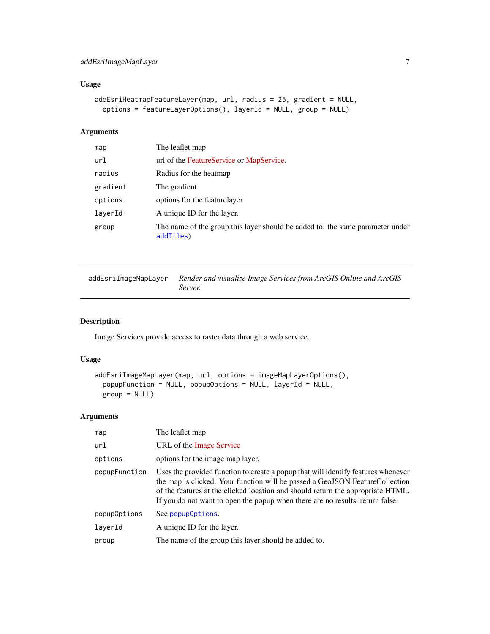#### <span id="page-6-0"></span>Usage

```
addEsriHeatmapFeatureLayer(map, url, radius = 25, gradient = NULL,
 options = featureLayerOptions(), layerId = NULL, group = NULL)
```
#### Arguments

| map      | The leaflet map                                                                            |
|----------|--------------------------------------------------------------------------------------------|
| url      | url of the FeatureService or MapService.                                                   |
| radius   | Radius for the heatmap                                                                     |
| gradient | The gradient                                                                               |
| options  | options for the featurelayer                                                               |
| laverId  | A unique ID for the layer.                                                                 |
| group    | The name of the group this layer should be added to, the same parameter under<br>addTiles) |

| addEsriImageMapLayer | Render and visualize Image Services from ArcGIS Online and ArcGIS |
|----------------------|-------------------------------------------------------------------|
|                      | Server.                                                           |

### Description

Image Services provide access to raster data through a web service.

#### Usage

```
addEsriImageMapLayer(map, url, options = imageMapLayerOptions(),
 popupFunction = NULL, popupOptions = NULL, layerId = NULL,
 group = NULL)
```

| map           | The leaflet map                                                                                                                                                                                                                                                                                                                        |
|---------------|----------------------------------------------------------------------------------------------------------------------------------------------------------------------------------------------------------------------------------------------------------------------------------------------------------------------------------------|
| url           | URL of the Image Service                                                                                                                                                                                                                                                                                                               |
| options       | options for the image map layer.                                                                                                                                                                                                                                                                                                       |
| popupFunction | Uses the provided function to create a popup that will identify features whenever<br>the map is clicked. Your function will be passed a GeoJSON Feature Collection<br>of the features at the clicked location and should return the appropriate HTML.<br>If you do not want to open the popup when there are no results, return false. |
| popupOptions  | See popup0ptions.                                                                                                                                                                                                                                                                                                                      |
| layerId       | A unique ID for the layer.                                                                                                                                                                                                                                                                                                             |
| group         | The name of the group this layer should be added to.                                                                                                                                                                                                                                                                                   |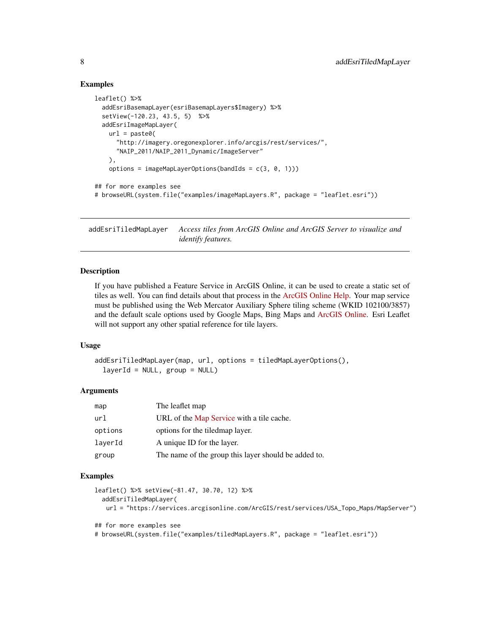#### Examples

```
leaflet() %>%
  addEsriBasemapLayer(esriBasemapLayers$Imagery) %>%
  setView(-120.23, 43.5, 5) %>%
  addEsriImageMapLayer(
   url = paste0("http://imagery.oregonexplorer.info/arcgis/rest/services/",
      "NAIP_2011/NAIP_2011_Dynamic/ImageServer"
    ),
    options = imageMapLayerOptions(bandIds = c(3, 0, 1)))
## for more examples see
# browseURL(system.file("examples/imageMapLayers.R", package = "leaflet.esri"))
```
addEsriTiledMapLayer *Access tiles from ArcGIS Online and ArcGIS Server to visualize and identify features.*

#### Description

If you have published a Feature Service in ArcGIS Online, it can be used to create a static set of tiles as well. You can find details about that process in the [ArcGIS Online Help.](http://doc.arcgis.com/en/arcgis-online/share-maps/publish-tiles.htm#ESRI_SECTION1_F68FCBD33BD54117B23232D41A762E89) Your map service must be published using the Web Mercator Auxiliary Sphere tiling scheme (WKID 102100/3857) and the default scale options used by Google Maps, Bing Maps and [ArcGIS Online.](http://resources.arcgis.com/en/help/arcgisonline-content/index.html#//011q00000002000000) Esri Leaflet will not support any other spatial reference for tile layers.

#### Usage

```
addEsriTiledMapLayer(map, url, options = tiledMapLayerOptions(),
  layerId = NULL, group = NULL)
```
#### Arguments

| map     | The leaflet map                                      |
|---------|------------------------------------------------------|
| url     | URL of the Map Service with a tile cache.            |
| options | options for the tiled map layer.                     |
| laverId | A unique ID for the layer.                           |
| group   | The name of the group this layer should be added to. |

#### Examples

```
leaflet() %>% setView(-81.47, 30.70, 12) %>%
  addEsriTiledMapLayer(
   url = "https://services.arcgisonline.com/ArcGIS/rest/services/USA_Topo_Maps/MapServer")
## for more examples see
# browseURL(system.file("examples/tiledMapLayers.R", package = "leaflet.esri"))
```
<span id="page-7-0"></span>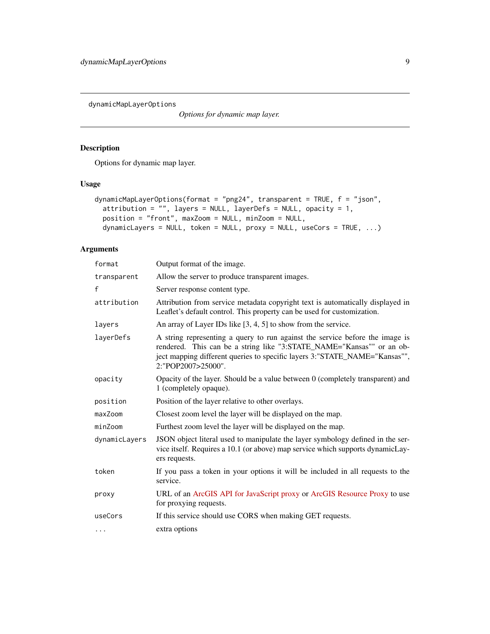<span id="page-8-0"></span>dynamicMapLayerOptions

*Options for dynamic map layer.*

#### Description

Options for dynamic map layer.

#### Usage

```
dynamicMapLayerOptions(format = "png24", transparent = TRUE, f = "json",
 attribution = "", layers = NULL, layerDefs = NULL, opacity = 1,
 position = "front", maxZoom = NULL, minZoom = NULL,
 dynamicLayers = NULL, token = NULL, proxy = NULL, useCors = TRUE, ...)
```

| format        | Output format of the image.                                                                                                                                                                                                                               |
|---------------|-----------------------------------------------------------------------------------------------------------------------------------------------------------------------------------------------------------------------------------------------------------|
| transparent   | Allow the server to produce transparent images.                                                                                                                                                                                                           |
| $\mathsf{f}$  | Server response content type.                                                                                                                                                                                                                             |
| attribution   | Attribution from service metadata copyright text is automatically displayed in<br>Leaflet's default control. This property can be used for customization.                                                                                                 |
| layers        | An array of Layer IDs like $[3, 4, 5]$ to show from the service.                                                                                                                                                                                          |
| layerDefs     | A string representing a query to run against the service before the image is<br>rendered. This can be a string like "3:STATE_NAME="Kansas"" or an ob-<br>ject mapping different queries to specific layers 3:"STATE_NAME="Kansas"",<br>2:"POP2007>25000". |
| opacity       | Opacity of the layer. Should be a value between 0 (completely transparent) and<br>1 (completely opaque).                                                                                                                                                  |
| position      | Position of the layer relative to other overlays.                                                                                                                                                                                                         |
| maxZoom       | Closest zoom level the layer will be displayed on the map.                                                                                                                                                                                                |
| minZoom       | Furthest zoom level the layer will be displayed on the map.                                                                                                                                                                                               |
| dynamicLayers | JSON object literal used to manipulate the layer symbology defined in the ser-<br>vice itself. Requires a 10.1 (or above) map service which supports dynamicLay-<br>ers requests.                                                                         |
| token         | If you pass a token in your options it will be included in all requests to the<br>service.                                                                                                                                                                |
| proxy         | URL of an ArcGIS API for JavaScript proxy or ArcGIS Resource Proxy to use<br>for proxying requests.                                                                                                                                                       |
| useCors       | If this service should use CORS when making GET requests.                                                                                                                                                                                                 |
| .             | extra options                                                                                                                                                                                                                                             |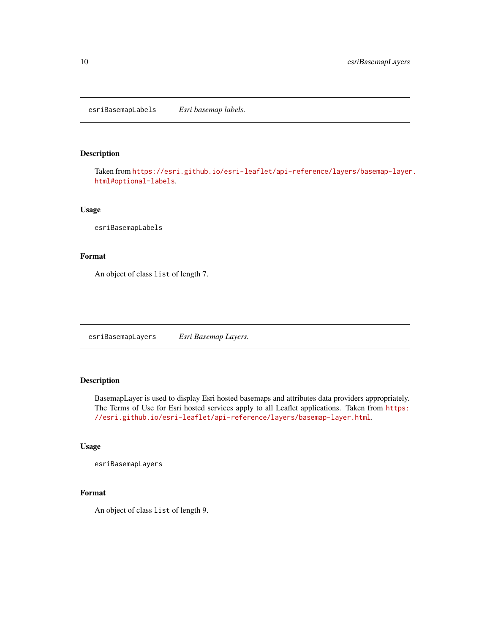<span id="page-9-0"></span>esriBasemapLabels *Esri basemap labels.*

#### Description

Taken from [https://esri.github.io/esri-leaflet/api-reference/layers/basemap-layer](https://esri.github.io/esri-leaflet/api-reference/layers/basemap-layer.html#optional-labels). [html#optional-labels](https://esri.github.io/esri-leaflet/api-reference/layers/basemap-layer.html#optional-labels).

#### Usage

esriBasemapLabels

#### Format

An object of class list of length 7.

esriBasemapLayers *Esri Basemap Layers.*

#### Description

BasemapLayer is used to display Esri hosted basemaps and attributes data providers appropriately. The Terms of Use for Esri hosted services apply to all Leaflet applications. Taken from [https:](https://esri.github.io/esri-leaflet/api-reference/layers/basemap-layer.html) [//esri.github.io/esri-leaflet/api-reference/layers/basemap-layer.html](https://esri.github.io/esri-leaflet/api-reference/layers/basemap-layer.html).

#### Usage

esriBasemapLayers

#### Format

An object of class list of length 9.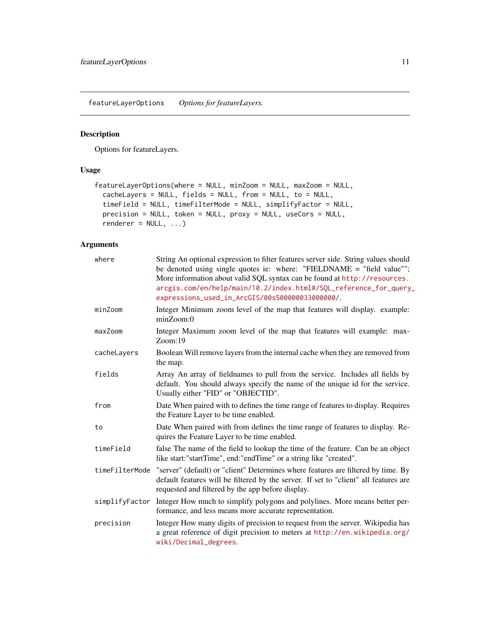<span id="page-10-0"></span>featureLayerOptions *Options for featureLayers.*

#### Description

Options for featureLayers.

#### Usage

```
featureLayerOptions(where = NULL, minZoom = NULL, maxZoom = NULL,
 cacheLayers = NULL, fields = NULL, from = NULL, to = NULL,
  timeField = NULL, timeFilterMode = NULL, simplifyFactor = NULL,
 precision = NULL, token = NULL, proxy = NULL, useCors = NULL,
 renderer = NULL, \dots)
```

| where          | String An optional expression to filter features server side. String values should<br>be denoted using single quotes ie: where: "FIELDNAME = "field value"";<br>More information about valid SQL syntax can be found at http://resources.<br>arcgis.com/en/help/main/10.2/index.html#/SQL_reference_for_query_<br>expressions_used_in_ArcGIS/00s500000033000000/. |
|----------------|-------------------------------------------------------------------------------------------------------------------------------------------------------------------------------------------------------------------------------------------------------------------------------------------------------------------------------------------------------------------|
| minZoom        | Integer Minimum zoom level of the map that features will display. example:<br>$minZ$ oom:0                                                                                                                                                                                                                                                                        |
| maxZoom        | Integer Maximum zoom level of the map that features will example: max-<br>Zoom:19                                                                                                                                                                                                                                                                                 |
| cacheLayers    | Boolean Will remove layers from the internal cache when they are removed from<br>the map.                                                                                                                                                                                                                                                                         |
| fields         | Array An array of fieldnames to pull from the service. Includes all fields by<br>default. You should always specify the name of the unique id for the service.<br>Usually either "FID" or "OBJECTID".                                                                                                                                                             |
| from           | Date When paired with to defines the time range of features to display. Requires<br>the Feature Layer to be time enabled.                                                                                                                                                                                                                                         |
| to             | Date When paired with from defines the time range of features to display. Re-<br>quires the Feature Layer to be time enabled.                                                                                                                                                                                                                                     |
| timeField      | false The name of the field to lookup the time of the feature. Can be an object<br>like start:"startTime", end:"endTime" or a string like "created".                                                                                                                                                                                                              |
| timeFilterMode | "server" (default) or "client" Determines where features are filtered by time. By<br>default features will be filtered by the server. If set to "client" all features are<br>requested and filtered by the app before display.                                                                                                                                    |
|                | simplifyFactor Integer How much to simplify polygons and polylines. More means better per-<br>formance, and less means more accurate representation.                                                                                                                                                                                                              |
| precision      | Integer How many digits of precision to request from the server. Wikipedia has<br>a great reference of digit precision to meters at http://en.wikipedia.org/<br>wiki/Decimal_degrees.                                                                                                                                                                             |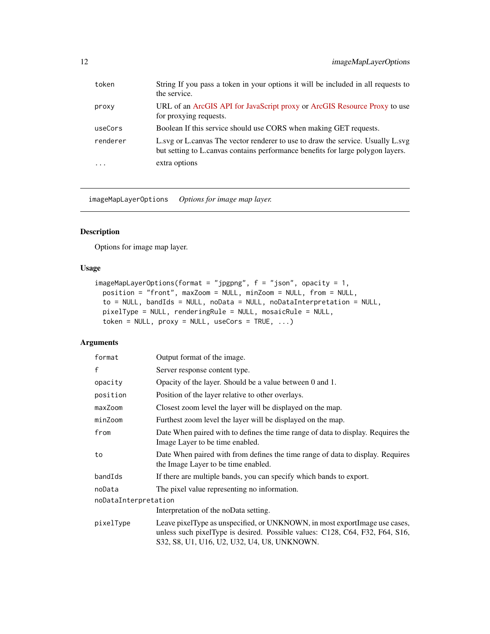<span id="page-11-0"></span>

| token    | String If you pass a token in your options it will be included in all requests to<br>the service.                                                                  |
|----------|--------------------------------------------------------------------------------------------------------------------------------------------------------------------|
| proxy    | URL of an ArcGIS API for JavaScript proxy or ArcGIS Resource Proxy to use<br>for proxying requests.                                                                |
| useCors  | Boolean If this service should use CORS when making GET requests.                                                                                                  |
| renderer | L.svg or L.canvas The vector renderer to use to draw the service. Usually L.svg<br>but setting to L.canvas contains performance benefits for large polygon layers. |
| $\cdots$ | extra options                                                                                                                                                      |

imageMapLayerOptions *Options for image map layer.*

#### Description

Options for image map layer.

#### Usage

```
imageMapLayerOptions(format = "jpgpng", f = "json", opacity = 1,position = "front", maxZoom = NULL, minZoom = NULL, from = NULL,
 to = NULL, bandIds = NULL, noData = NULL, noDataInterpretation = NULL,
 pixelType = NULL, renderingRule = NULL, mosaicRule = NULL,
 token = NULL, proxy = NULL, useCors = TRUE, ...)
```

| format               | Output format of the image.                                                                                                                                                                                  |  |
|----------------------|--------------------------------------------------------------------------------------------------------------------------------------------------------------------------------------------------------------|--|
| f                    | Server response content type.                                                                                                                                                                                |  |
| opacity              | Opacity of the layer. Should be a value between 0 and 1.                                                                                                                                                     |  |
| position             | Position of the layer relative to other overlays.                                                                                                                                                            |  |
| maxZoom              | Closest zoom level the layer will be displayed on the map.                                                                                                                                                   |  |
| minZoom              | Furthest zoom level the layer will be displayed on the map.                                                                                                                                                  |  |
| from                 | Date When paired with to defines the time range of data to display. Requires the<br>Image Layer to be time enabled.                                                                                          |  |
| to                   | Date When paired with from defines the time range of data to display. Requires<br>the Image Layer to be time enabled.                                                                                        |  |
| bandIds              | If there are multiple bands, you can specify which bands to export.                                                                                                                                          |  |
| noData               | The pixel value representing no information.                                                                                                                                                                 |  |
| noDataInterpretation |                                                                                                                                                                                                              |  |
|                      | Interpretation of the noData setting.                                                                                                                                                                        |  |
| pixelType            | Leave pixelType as unspecified, or UNKNOWN, in most export lmage use cases,<br>unless such pixelType is desired. Possible values: C128, C64, F32, F64, S16,<br>\$32, \$8, U1, U16, U2, U32, U4, U8, UNKNOWN. |  |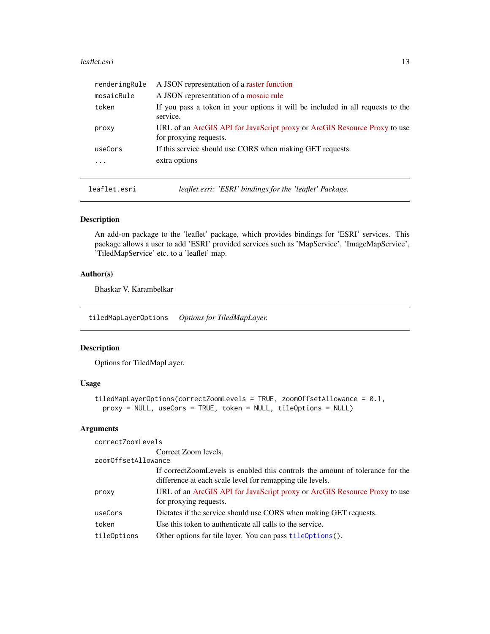#### <span id="page-12-0"></span>leaflet.esri 13

| renderingRule | A JSON representation of a raster function                                                          |
|---------------|-----------------------------------------------------------------------------------------------------|
| mosaicRule    | A JSON representation of a mosaic rule                                                              |
| token         | If you pass a token in your options it will be included in all requests to the<br>service.          |
| proxy         | URL of an ArcGIS API for JavaScript proxy or ArcGIS Resource Proxy to use<br>for proxying requests. |
| useCors       | If this service should use CORS when making GET requests.                                           |
|               | extra options                                                                                       |
|               |                                                                                                     |

leaflet.esri *leaflet.esri: 'ESRI' bindings for the 'leaflet' Package.*

#### Description

An add-on package to the 'leaflet' package, which provides bindings for 'ESRI' services. This package allows a user to add 'ESRI' provided services such as 'MapService', 'ImageMapService', 'TiledMapService' etc. to a 'leaflet' map.

#### Author(s)

Bhaskar V. Karambelkar

tiledMapLayerOptions *Options for TiledMapLayer.*

#### Description

Options for TiledMapLayer.

#### Usage

```
tiledMapLayerOptions(correctZoomLevels = TRUE, zoomOffsetAllowance = 0.1,
 proxy = NULL, useCors = TRUE, token = NULL, tileOptions = NULL)
```
#### Arguments

correctZoomLevels

Correct Zoom levels.

zoomOffsetAllowance

|             | If correct Zoom Levels is enabled this controls the amount of tolerance for the<br>difference at each scale level for remapping tile levels. |
|-------------|----------------------------------------------------------------------------------------------------------------------------------------------|
| proxy       | URL of an ArcGIS API for JavaScript proxy or ArcGIS Resource Proxy to use<br>for proxying requests.                                          |
| useCors     | Dictates if the service should use CORS when making GET requests.                                                                            |
| token       | Use this token to authenticate all calls to the service.                                                                                     |
| tileOptions | Other options for tile layer. You can pass tileoptions().                                                                                    |